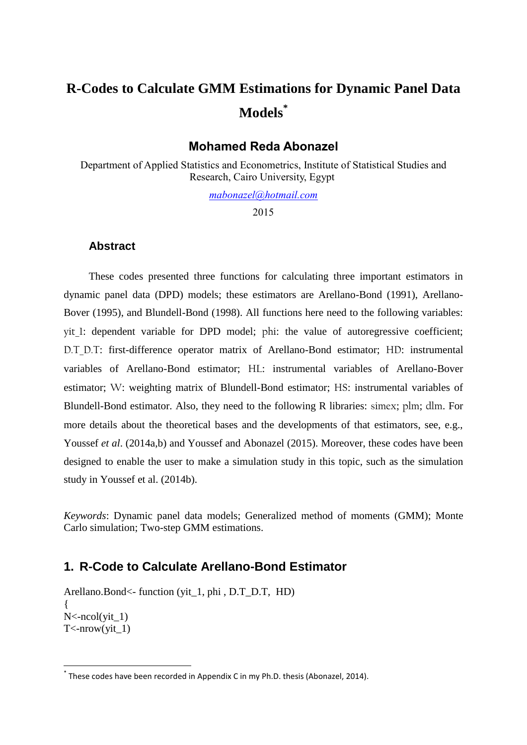# **R-Codes to Calculate GMM Estimations for Dynamic Panel Data Models\***

### **Mohamed Reda Abonazel**

Department of Applied Statistics and Econometrics, Institute of Statistical Studies and Research, Cairo University, Egypt

*[mabonazel@hotmail.com](mailto:mabonazel@hotmail.com)*

2015

#### **Abstract**

These codes presented three functions for calculating three important estimators in dynamic panel data (DPD) models; these estimators are Arellano-Bond (1991), Arellano-Bover (1995), and Blundell-Bond (1998). All functions here need to the following variables: yit 1: dependent variable for DPD model; phi: the value of autoregressive coefficient; D.T. D.T: first-difference operator matrix of Arellano-Bond estimator; HD: instrumental variables of Arellano-Bond estimator; HL: instrumental variables of Arellano-Bover estimator; W: weighting matrix of Blundell-Bond estimator; HS: instrumental variables of Blundell-Bond estimator. Also, they need to the following R libraries: simex; plm; dlm. For more details about the theoretical bases and the developments of that estimators, see, e.g., Youssef *et al.* (2014a,b) and Youssef and Abonazel (2015). Moreover, these codes have been designed to enable the user to make a simulation study in this topic, such as the simulation study in Youssef et al. (2014b).

*Keywords*: Dynamic panel data models; Generalized method of moments (GMM); Monte Carlo simulation; Two-step GMM estimations.

## **1. R-Code to Calculate Arellano-Bond Estimator**

Arellano.Bond<- function (yit\_1, phi , D.T\_D.T, HD) {  $N < -ncol(\text{vit } 1)$  $T$  <-nrow(yit\_1)

**.** 

<sup>\*</sup> These codes have been recorded in Appendix C in my Ph.D. thesis (Abonazel, 2014).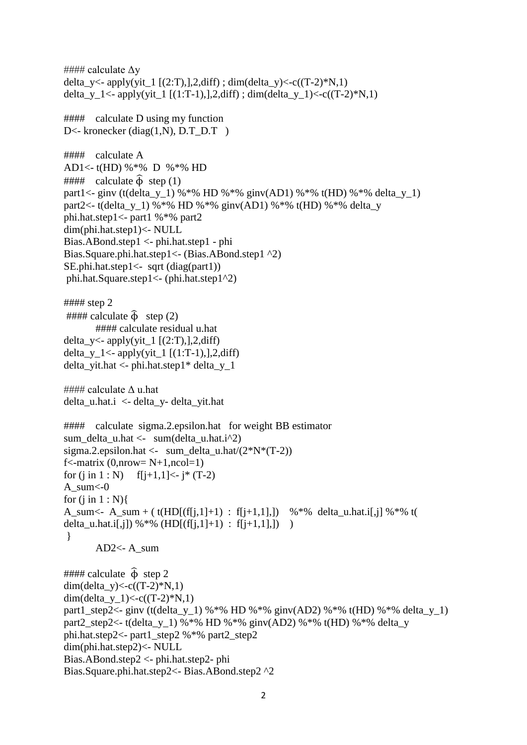#### calculate  $\Delta y$ delta\_y<- apply(yit\_1 [(2:T),],2,diff) ; dim(delta\_y)<-c((T-2)\*N,1) delta y 1<- apply(yit\_1 [(1:T-1),],2,diff) ; dim(delta y 1)<-c((T-2)\*N,1)  $\# \# \# \#$  calculate D using my function D<- kronecker (diag(1,N), D.T\_D.T ) #### calculate A AD1<- t(HD) %\*% D %\*% HD  $\# \# \#$  calculate  $\widehat{\Phi}$  step (1) part1<- ginv (t(delta y 1) %\*% HD %\*% ginv(AD1) %\*% t(HD) %\*% delta y 1) part2<- t(delta\_y\_1) %\*% HD %\*% ginv(AD1) %\*% t(HD) %\*% delta\_y phi.hat.step1<- part1 %\*% part2 dim(phi.hat.step1)<- NULL Bias.ABond.step1 <- phi.hat.step1 - phi Bias.Square.phi.hat.step1<- (Bias.ABond.step1 ^2) SE.phi.hat.step1<- sqrt (diag(part1)) phi.hat.Square.step1<- (phi.hat.step1^2) #### step 2  $\# \# \#$  calculate  $\hat{\Phi}$  step (2) #### calculate residual u.hat delta\_y<-  $apply(yit_1 [(2:T),],2,diff)$ delta\_y\_1<-  $apply(yit_1 [(1:T-1),],2,diff)$ delta\_yit.hat <- phi.hat.step1\* delta\_y\_1 #### calculate  $\Delta$  u.hat delta u.hat. $i <$ - delta y- delta yit.hat #### calculate sigma.2.epsilon.hat for weight BB estimator

```
sum_delta_u.hat <- sum(delta_u.hat.i^2) 
sigma.2.epsilon.hat <- sum_delta_u.hat/(2*N*(T-2))f <- matrix (0, nrow = N+1, ncol=1)for (i \text{ in } 1 : N) f[j+1,1] <- j* (T-2)
A sum<0for (i in 1 : N}
A_sum <- A_sum + (t(HD[(f[i,1]+1) : f[i+1,1],]) %*% delta_u.hat.i[,j] %*% t(
delta_u.hat.i[,j]) %*% (HD[(f[j,1]+1) : f[j+1,1],]) )
}
       AD2\lt- A_sum
\# \# \# \# calculate \hat{\Phi} step 2
```
dim(delta\_y)<-c( $(T-2)*N,1$ ) dim(delta\_y\_1)<-c((T-2)\*N,1) part1\_step2<- ginv (t(delta\_y\_1) %\*% HD %\*% ginv(AD2) %\*% t(HD) %\*% delta\_y\_1) part2 step2<- t(delta y 1) %\*% HD %\*% ginv(AD2) %\*% t(HD) %\*% delta y phi.hat.step2<- part1\_step2 %\*% part2\_step2 dim(phi.hat.step2)<- NULL Bias.ABond.step2 <- phi.hat.step2- phi Bias.Square.phi.hat.step2<- Bias.ABond.step2 ^2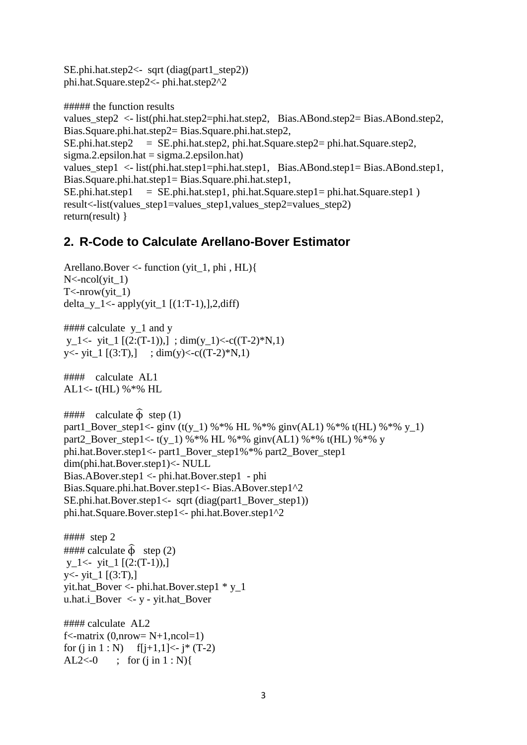```
SE.phi.hat.step2<- sqrt (diag(part1 \ step2))phi.hat.Square.step2<- phi.hat.step2^2
```

```
##### the function results
values_step2 <- list(phi.hat.step2=phi.hat.step2, Bias.ABond.step2= Bias.ABond.step2, 
Bias.Square.phi.hat.step2= Bias.Square.phi.hat.step2, 
SE.phi. = SE.phi. hat.step2, phi.hat.Square.step2= phi.hat.Square.step2,
sigma.2.epsilon.hat = sigma.2.epsilon.hat)values_step1 <- list(phi.hat.step1=phi.hat.step1, Bias.ABond.step1= Bias.ABond.step1,
Bias.Square.phi.hat.step1= Bias.Square.phi.hat.step1, 
SE.phi.hat.step1 = SE.phi.hat.step1, phi.hat.Square.step1= phi.hat.Square.step1 )
result<-list(values_step1=values_step1,values_step2=values_step2)
return(result) }
```
## **2. R-Code to Calculate Arellano-Bover Estimator**

```
Arellano.Bover \leq-function (yit 1, phi, HL)\{N < -ncol(\text{vit } 1)T <-nrow(yit 1)
delta_y_1<- apply(yit_1 [(1:T-1),],2,diff)
```

```
\# \# \# \# calculate y_1 and y
y_1 <- yit_1 [(2:(T-1)), ; dim(y_1) <- c((T-2) *N, 1)
y<- yit_1 [(3:T),] ; dim(y)<-c((T-2)*N,1)
```

```
#### calculate AL1
AL1<- t(HL) %*% HL
```

```
\# \# \# calculate \hat{\Phi} step (1)
part1_Bover_step1<- ginv (t(y_1) %*% HL %*% ginv(AL1) %*% t(HL) %*% y_1)
part2 Bover step1<- t(y_1) %*% HL %*% ginv(AL1) %*% t(HL) %*% y
phi.hat.Bover.step1<- part1_Bover_step1%*% part2_Bover_step1
dim(phi.hat.Bover.step1)<- NULL
Bias.ABover.step1 <- phi.hat.Bover.step1 - phi
Bias.Square.phi.hat.Bover.step1<- Bias.ABover.step1^2
SE.phi.hat.Bover.step1<- sqrt (diag(part1_Bover_step1))
phi.hat.Square.Bover.step1<- phi.hat.Bover.step1^2
```

```
#### step 2
\# \# \# \# calculate \hat{\Phi} step (2)
y_1 < - yit 1 [(2:(T-1)),
y \leftarrow \text{yit} 1 [(3:T),]
yit.hat Bover \langle- phi.hat.Bover.step1 * y_1
u.hat.i_Bover <- y - yit.hat_Bover
```
#### calculate AL2  $f$  <-matrix (0,nrow = N+1,ncol = 1) for  $(i \text{ in } 1 : N)$  f[j+1,1] <- j\* (T-2) AL2<-0 ; for  $(i \text{ in } 1 : N)$ {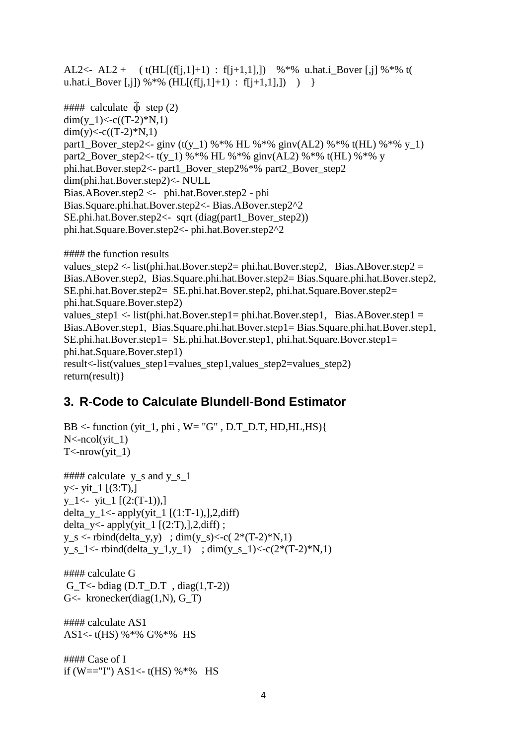AL2<- AL2 + (t(HL[(f[j,1]+1) : f[j+1,1],]) %\*% u.hat.i\_Bover [,j] %\*% t( u.hat.i\_Bover [,j]) %\*% (HL[(f[j,1]+1) : f[j+1,1],]) ) }  $\# \# \#$  calculate  $\hat{\Phi}$  step (2)  $dim(y_1) < -c((T-2)*N,1)$ dim(y) $<< (T-2)*N,1)$ part1 Bover step2<- ginv (t(y\_1) %\*% HL %\*% ginv(AL2) %\*% t(HL) %\*% y\_1) part2 Bover step2<- t(y\_1) %\*% HL %\*% ginv(AL2) %\*% t(HL) %\*% y phi.hat.Bover.step2<- part1\_Bover\_step2%\*% part2\_Bover\_step2 dim(phi.hat.Bover.step2)<- NULL Bias.ABover.step2 <- phi.hat.Bover.step2 - phi Bias.Square.phi.hat.Bover.step2<- Bias.ABover.step2^2 SE.phi.hat.Bover.step2<- sqrt (diag(part1\_Bover\_step2)) phi.hat.Square.Bover.step2<- phi.hat.Bover.step2^2

```
#### the function results
values step2 <- list(phi.hat.Bover.step2= phi.hat.Bover.step2, Bias.ABover.step2 =
Bias.ABover.step2, Bias.Square.phi.hat.Bover.step2= Bias.Square.phi.hat.Bover.step2, 
SE.phi.hat.Bover.step2= SE.phi.hat.Bover.step2, phi.hat.Square.Bover.step2= 
phi.hat.Square.Bover.step2)
values step1 <- list(phi.hat.Bover.step1= phi.hat.Bover.step1, Bias.ABover.step1 =
Bias.ABover.step1, Bias.Square.phi.hat.Bover.step1= Bias.Square.phi.hat.Bover.step1, 
SE.phi.hat.Bover.step1= SE.phi.hat.Bover.step1, phi.hat.Square.Bover.step1= 
phi.hat.Square.Bover.step1)
result<-list(values_step1=values_step1,values_step2=values_step2)
return(result)}
```
# **3. R-Code to Calculate Blundell-Bond Estimator**

```
BB \le- function (yit_1, phi, W= "G", D.T_D.T, HD,HL,HS){
N < -ncol(\text{vit } 1)T <-nrow(yit 1)
\# \# \# \# calculate y_s and y_s_1
y \le - yit_1 [(3:T),]y 1 <- yit 1 [(2:(T-1)),
delta_y_1<- apply(yit_1 [(1:T-1),],2,diff)delta_y<- apply(yit_1 [(2:T),],2,diff);
y_s < -rbind(delta_y,y); dim(y_s)<-c( 2*(T-2)*N,1)
y_s_1 < -r rbind(delta_y_1,y_1) ; dim(y_s_1) < -c(2*(T-2)*N,1)
#### calculate G
G_T<- bdiag (D.T_D.T , diag(1,T-2))
G - kronecker(diag(1,N), G_T)
#### calculate AS1
AS1<- t(HS) %*% G%*% HS
```
#### Case of I if (W=="I") AS1<- t(HS) %\*% HS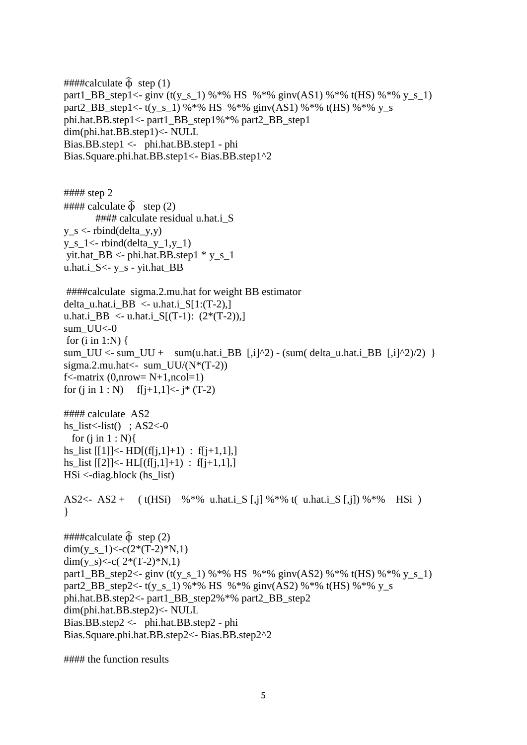```
\# \# \#tealculate \hat{\Phi} step (1)
part1_BB_step1<- ginv (t(y_s_1) %*% HS %*% ginv(AS1) %*% t(HS) %*% y_s_1)
part2_BB_step1<- t(y_s_1) %*% HS %*% ginv(AS1) %*% t(HS) %*% y_s
phi.hat.BB.step1<- part1_BB_step1%*% part2_BB_step1
dim(phi.hat.BB.step1)<- NULL
Bias.BB.step1 <- phi.hat.BB.step1 - phi
Bias.Square.phi.hat.BB.step1<- Bias.BB.step1^2
#### step 2
\# \# \# calculate \widehat{\Phi} step (2)
       #### calculate residual u.hat.i_S
y_s < -rbind(delta y,y)
y s 1 \le- rbind(delta y 1,y 1)
yit.hat_BB <- phi.hat.BB.step1 * y_s_1
u.hat.i_S<- y_s - yit.hat_BB
####calculate sigma.2.mu.hat for weight BB estimator 
delta_u.hat.i_BB <- u.hat.i_S[1:(T-2),]
u.hat.i BB <- u.hat.i S[(T-1): (2*(T-2)),]
sum UU<0for (i in 1:N) {
sum_UU <- sum_UU + sum(u.hat.i_BB [,i]^2) - (sum( delta_u.hat.i_BB [,i]^2)/2) }
sigma.2.mu.hat\le- sum_UU/(N*(T-2))
f <-matrix (0,nrow = N+1,ncol = 1)
for (i in 1 : N) f[i+1,1] <- i<sup>*</sup> (T-2)
#### calculate AS2
hs_list\leftarrow-list(); AS2\leftarrow-0
 for (i in 1 : N }
hs list [[1]] < - HD[(f[i,1]+1) : f[i+1,1],]hs_list [[2]] <- HL[(f[i,1]+1) : f[i+1,1],]HSi <-diag.block (hs_list)
AS2<- AS2 + (t(HSi) %*% u.hat.i_S [,j] %*% t( u.hat.i_S [,j]) %*% HSi)
} 
####calculate \hat{\Phi} step (2)
dim(y_s_1)<-c(2*(T-2)*N,1)
dim(y_s)<-c(2*(T-2)*N,1)
part1_BB_step2<- ginv (t(y_s_1) %*% HS %*% ginv(AS2) %*% t(HS) %*% y_s_1)
part2_BB_step2<- t(y_s_1) %*% HS %*% ginv(AS2) %*% t(HS) %*% y_s
phi.hat.BB.step2<- part1_BB_step2%*% part2_BB_step2
dim(phi.hat.BB.step2)<- NULL
Bias.BB.step2 <- phi.hat.BB.step2 - phi
Bias.Square.phi.hat.BB.step2<- Bias.BB.step2^2
```
#### the function results